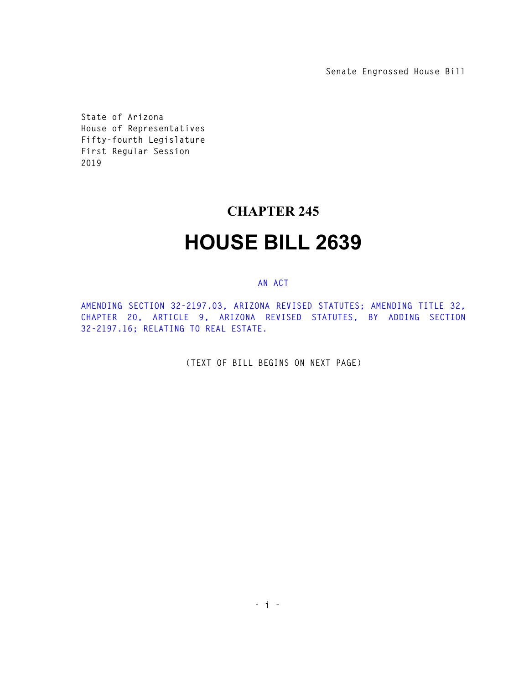**Senate Engrossed House Bill** 

**State of Arizona House of Representatives Fifty-fourth Legislature First Regular Session 2019** 

## **CHAPTER 245**

## **HOUSE BILL 2639**

## **AN ACT**

**AMENDING SECTION 32-2197.03, ARIZONA REVISED STATUTES; AMENDING TITLE 32, CHAPTER 20, ARTICLE 9, ARIZONA REVISED STATUTES, BY ADDING SECTION 32-2197.16; RELATING TO REAL ESTATE.** 

**(TEXT OF BILL BEGINS ON NEXT PAGE)**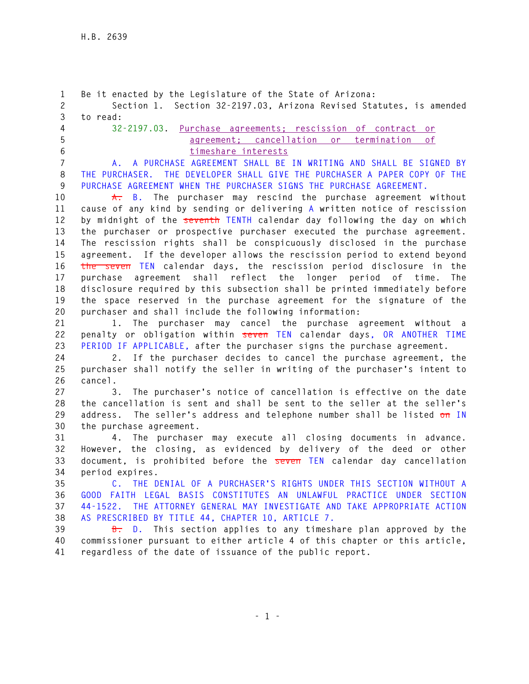**1 Be it enacted by the Legislature of the State of Arizona: 2 Section 1. Section 32-2197.03, Arizona Revised Statutes, is amended 3 to read: 4 32-2197.03. Purchase agreements; rescission of contract or 5 agreement; cancellation or termination of 6 timeshare interests 7 A. A PURCHASE AGREEMENT SHALL BE IN WRITING AND SHALL BE SIGNED BY 8 THE PURCHASER. THE DEVELOPER SHALL GIVE THE PURCHASER A PAPER COPY OF THE 9 PURCHASE AGREEMENT WHEN THE PURCHASER SIGNS THE PURCHASE AGREEMENT. 10 A. B. The purchaser may rescind the purchase agreement without 11 cause of any kind by sending or delivering A written notice of rescission 12 by midnight of the seventh TENTH calendar day following the day on which 13 the purchaser or prospective purchaser executed the purchase agreement. 14 The rescission rights shall be conspicuously disclosed in the purchase 15 agreement. If the developer allows the rescission period to extend beyond 16 the seven TEN calendar days, the rescission period disclosure in the 17 purchase agreement shall reflect the longer period of time. The 18 disclosure required by this subsection shall be printed immediately before 19 the space reserved in the purchase agreement for the signature of the 20 purchaser and shall include the following information: 21 1. The purchaser may cancel the purchase agreement without a 22 penalty or obligation within seven TEN calendar days, OR ANOTHER TIME 23 PERIOD IF APPLICABLE, after the purchaser signs the purchase agreement. 24 2. If the purchaser decides to cancel the purchase agreement, the 25 purchaser shall notify the seller in writing of the purchaser's intent to 26 cancel. 27 3. The purchaser's notice of cancellation is effective on the date 28 the cancellation is sent and shall be sent to the seller at the seller's 29 address. The seller's address and telephone number shall be listed on IN 30 the purchase agreement. 31 4. The purchaser may execute all closing documents in advance. 32 However, the closing, as evidenced by delivery of the deed or other 33 document, is prohibited before the seven TEN calendar day cancellation 34 period expires. 35 C. THE DENIAL OF A PURCHASER'S RIGHTS UNDER THIS SECTION WITHOUT A 36 GOOD FAITH LEGAL BASIS CONSTITUTES AN UNLAWFUL PRACTICE UNDER SECTION 37 44-1522. THE ATTORNEY GENERAL MAY INVESTIGATE AND TAKE APPROPRIATE ACTION 38 AS PRESCRIBED BY TITLE 44, CHAPTER 10, ARTICLE 7. 39 B. D. This section applies to any timeshare plan approved by the 40 commissioner pursuant to either article 4 of this chapter or this article, 41 regardless of the date of issuance of the public report.**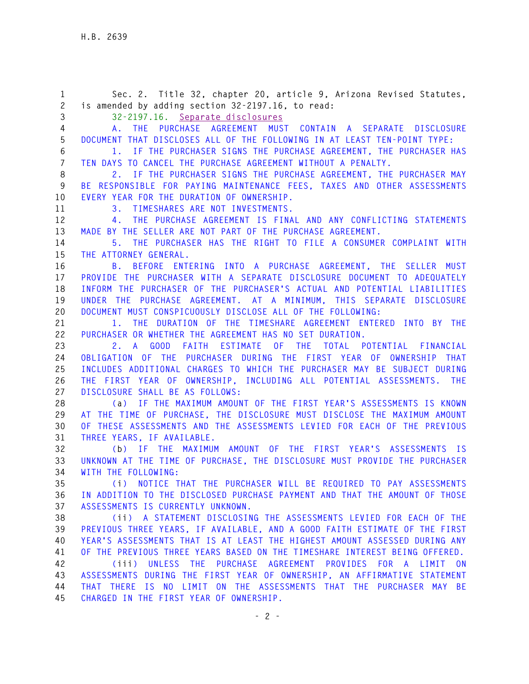**1 Sec. 2. Title 32, chapter 20, article 9, Arizona Revised Statutes, 2 is amended by adding section 32-2197.16, to read: 3 32-2197.16. Separate disclosures 4 A. THE PURCHASE AGREEMENT MUST CONTAIN A SEPARATE DISCLOSURE 5 DOCUMENT THAT DISCLOSES ALL OF THE FOLLOWING IN AT LEAST TEN-POINT TYPE: 6 1. IF THE PURCHASER SIGNS THE PURCHASE AGREEMENT, THE PURCHASER HAS 7 TEN DAYS TO CANCEL THE PURCHASE AGREEMENT WITHOUT A PENALTY. 8 2. IF THE PURCHASER SIGNS THE PURCHASE AGREEMENT, THE PURCHASER MAY 9 BE RESPONSIBLE FOR PAYING MAINTENANCE FEES, TAXES AND OTHER ASSESSMENTS 10 EVERY YEAR FOR THE DURATION OF OWNERSHIP. 11 3. TIMESHARES ARE NOT INVESTMENTS. 12 4. THE PURCHASE AGREEMENT IS FINAL AND ANY CONFLICTING STATEMENTS 13 MADE BY THE SELLER ARE NOT PART OF THE PURCHASE AGREEMENT. 14 5. THE PURCHASER HAS THE RIGHT TO FILE A CONSUMER COMPLAINT WITH 15 THE ATTORNEY GENERAL. 16 B. BEFORE ENTERING INTO A PURCHASE AGREEMENT, THE SELLER MUST 17 PROVIDE THE PURCHASER WITH A SEPARATE DISCLOSURE DOCUMENT TO ADEQUATELY 18 INFORM THE PURCHASER OF THE PURCHASER'S ACTUAL AND POTENTIAL LIABILITIES 19 UNDER THE PURCHASE AGREEMENT. AT A MINIMUM, THIS SEPARATE DISCLOSURE 20 DOCUMENT MUST CONSPICUOUSLY DISCLOSE ALL OF THE FOLLOWING: 21 1. THE DURATION OF THE TIMESHARE AGREEMENT ENTERED INTO BY THE 22 PURCHASER OR WHETHER THE AGREEMENT HAS NO SET DURATION. 23 2. A GOOD FAITH ESTIMATE OF THE TOTAL POTENTIAL FINANCIAL 24 OBLIGATION OF THE PURCHASER DURING THE FIRST YEAR OF OWNERSHIP THAT 25 INCLUDES ADDITIONAL CHARGES TO WHICH THE PURCHASER MAY BE SUBJECT DURING 26 THE FIRST YEAR OF OWNERSHIP, INCLUDING ALL POTENTIAL ASSESSMENTS. THE 27 DISCLOSURE SHALL BE AS FOLLOWS: 28 (a) IF THE MAXIMUM AMOUNT OF THE FIRST YEAR'S ASSESSMENTS IS KNOWN 29 AT THE TIME OF PURCHASE, THE DISCLOSURE MUST DISCLOSE THE MAXIMUM AMOUNT 30 OF THESE ASSESSMENTS AND THE ASSESSMENTS LEVIED FOR EACH OF THE PREVIOUS 31 THREE YEARS, IF AVAILABLE. 32 (b) IF THE MAXIMUM AMOUNT OF THE FIRST YEAR'S ASSESSMENTS IS 33 UNKNOWN AT THE TIME OF PURCHASE, THE DISCLOSURE MUST PROVIDE THE PURCHASER 34 WITH THE FOLLOWING: 35 (i) NOTICE THAT THE PURCHASER WILL BE REQUIRED TO PAY ASSESSMENTS 36 IN ADDITION TO THE DISCLOSED PURCHASE PAYMENT AND THAT THE AMOUNT OF THOSE 37 ASSESSMENTS IS CURRENTLY UNKNOWN. 38 (ii) A STATEMENT DISCLOSING THE ASSESSMENTS LEVIED FOR EACH OF THE 39 PREVIOUS THREE YEARS, IF AVAILABLE, AND A GOOD FAITH ESTIMATE OF THE FIRST 40 YEAR'S ASSESSMENTS THAT IS AT LEAST THE HIGHEST AMOUNT ASSESSED DURING ANY 41 OF THE PREVIOUS THREE YEARS BASED ON THE TIMESHARE INTEREST BEING OFFERED. 42 (iii) UNLESS THE PURCHASE AGREEMENT PROVIDES FOR A LIMIT ON 43 ASSESSMENTS DURING THE FIRST YEAR OF OWNERSHIP, AN AFFIRMATIVE STATEMENT 44 THAT THERE IS NO LIMIT ON THE ASSESSMENTS THAT THE PURCHASER MAY BE 45 CHARGED IN THE FIRST YEAR OF OWNERSHIP.**